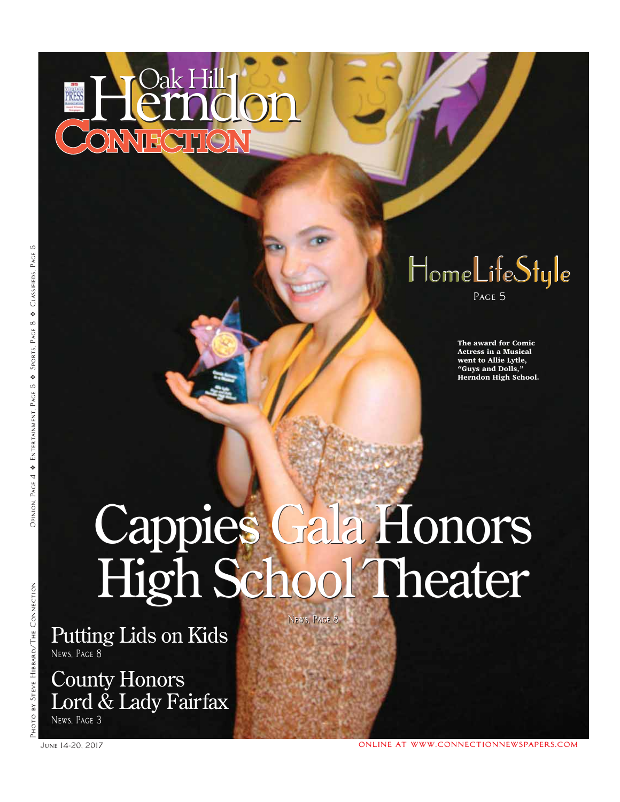

# HomeLifeStyle HomeLifeStyle HomeLifeStyle

**Page 5**

The award for Comic Actress in a Musical went to Allie Lytle, "Guys and Dolls," Herndon High School.

# **Example 14-2018 Propries.com Cappies.com Cala Honors**<br> **Putting Lids on Kids**<br>
County Honors<br>
Lord & Lady Fairfax Cappies Gala Honors High School Theater Cappies Gala Honors High School Theater

Putting Lids on Kids **News, Page 8**

County Honors Lord & Lady Fairfax **News, Page 3**

**Photo by Steve Hibbard/The Connection**

**News, Page 8 News, Page 8**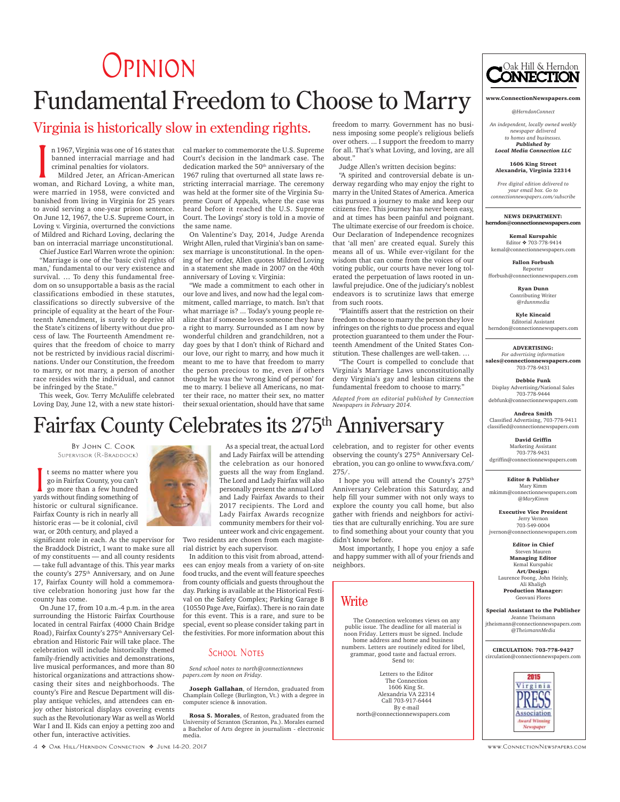## **Opinion** Fundamental Freedom to Choose to Marry

### Virginia is historically slow in extending rights.

**I** n 1967, Virginia was one of 16 states that banned interracial marriage and had criminal penalties for violators.

Mildred Jeter, an African-American woman, and Richard Loving, a white man, were married in 1958, were convicted and banished from living in Virginia for 25 years to avoid serving a one-year prison sentence. On June 12, 1967, the U.S. Supreme Court, in Loving v. Virginia, overturned the convictions of Mildred and Richard Loving, declaring the ban on interracial marriage unconstitutional. Chief Justice Earl Warren wrote the opinion:

"Marriage is one of the 'basic civil rights of man,' fundamental to our very existence and survival. … To deny this fundamental freedom on so unsupportable a basis as the racial classifications embodied in these statutes, classifications so directly subversive of the principle of equality at the heart of the Fourteenth Amendment, is surely to deprive all the State's citizens of liberty without due process of law. The Fourteenth Amendment requires that the freedom of choice to marry not be restricted by invidious racial discriminations. Under our Constitution, the freedom to marry, or not marry, a person of another race resides with the individual, and cannot be infringed by the State."

This week, Gov. Terry McAuliffe celebrated Loving Day, June 12, with a new state historical marker to commemorate the U.S. Supreme Court's decision in the landmark case. The dedication marked the 50<sup>th</sup> anniversary of the 1967 ruling that overturned all state laws restricting interracial marriage. The ceremony was held at the former site of the Virginia Supreme Court of Appeals, where the case was heard before it reached the U.S. Supreme Court. The Lovings' story is told in a movie of the same name.

On Valentine's Day, 2014, Judge Arenda Wright Allen, ruled that Virginia's ban on samesex marriage is unconstitutional. In the opening of her order, Allen quotes Mildred Loving in a statement she made in 2007 on the 40th anniversary of Loving v. Virginia:

"We made a commitment to each other in our love and lives, and now had the legal commitment, called marriage, to match. Isn't that what marriage is? ... Today's young people realize that if someone loves someone they have a right to marry. Surrounded as I am now by wonderful children and grandchildren, not a day goes by that I don't think of Richard and our love, our right to marry, and how much it meant to me to have that freedom to marry the person precious to me, even if others thought he was the 'wrong kind of person' for me to marry. I believe all Americans, no matter their race, no matter their sex, no matter their sexual orientation, should have that same freedom to marry. Government has no business imposing some people's religious beliefs over others. ... I support the freedom to marry for all. That's what Loving, and loving, are all about."

Judge Allen's written decision begins:

"A spirited and controversial debate is underway regarding who may enjoy the right to marry in the United States of America. America has pursued a journey to make and keep our citizens free. This journey has never been easy, and at times has been painful and poignant. The ultimate exercise of our freedom is choice. Our Declaration of Independence recognizes that 'all men' are created equal. Surely this means all of us. While ever-vigilant for the wisdom that can come from the voices of our voting public, our courts have never long tolerated the perpetuation of laws rooted in unlawful prejudice. One of the judiciary's noblest endeavors is to scrutinize laws that emerge from such roots.

"Plaintiffs assert that the restriction on their freedom to choose to marry the person they love infringes on the rights to due process and equal protection guaranteed to them under the Fourteenth Amendment of the United States Constitution. These challenges are well-taken. …

"The Court is compelled to conclude that Virginia's Marriage Laws unconstitutionally deny Virginia's gay and lesbian citizens the fundamental freedom to choose to marry."

*Adapted from an editorial published by Connection Newspapers in February 2014.*

## Fairfax County Celebrates its 275th Anniversary

**By John C. Cook** Supervisor (R-Braddock)

**I** t seems no matter where you go in Fairfax County, you can't go more than a few hundred yards without finding something of historic or cultural significance. Fairfax County is rich in nearly all historic eras — be it colonial, civil war, or 20th century, and played a

significant role in each. As the supervisor for the Braddock District, I want to make sure all of my constituents — and all county residents — take full advantage of this. This year marks the county's 275<sup>th</sup> Anniversary, and on June 17, Fairfax County will hold a commemorative celebration honoring just how far the county has come.

On June 17, from 10 a.m.-4 p.m. in the area surrounding the Historic Fairfax Courthouse located in central Fairfax (4000 Chain Bridge Road), Fairfax County's 275<sup>th</sup> Anniversary Celebration and Historic Fair will take place. The celebration will include historically themed family-friendly activities and demonstrations, live musical performances, and more than 80 historical organizations and attractions showcasing their sites and neighborhoods. The county's Fire and Rescue Department will display antique vehicles, and attendees can enjoy other historical displays covering events such as the Revolutionary War as well as World War I and II. Kids can enjoy a petting zoo and other fun, interactive activities.



As a special treat, the actual Lord and Lady Fairfax will be attending the celebration as our honored guests all the way from England. The Lord and Lady Fairfax will also personally present the annual Lord and Lady Fairfax Awards to their 2017 recipients. The Lord and Lady Fairfax Awards recognize community members for their volunteer work and civic engagement.

Two residents are chosen from each magisterial district by each supervisor.

In addition to this visit from abroad, attendees can enjoy meals from a variety of on-site food trucks, and the event will feature speeches from county officials and guests throughout the day. Parking is available at the Historical Festival on the Safety Complex; Parking Garage B (10550 Page Ave, Fairfax). There is no rain date for this event. This is a rare, and sure to be special, event so please consider taking part in the festivities. For more information about this

#### **School Notes**

*Send school notes to north@connectionnews papers.com by noon on Friday.*

Joseph Gallahan, of Herndon, graduated from Champlain College (Burlington, Vt.) with a degree in computer science & innovation.

Rosa S. Morales, of Reston, graduated from the University of Scranton (Scranton, Pa.). Morales earned a Bachelor of Arts degree in journalism - electronic media.

celebration, and to register for other events observing the county's 275<sup>th</sup> Anniversary Celebration, you can go online to www.fxva.com/ 275/.

I hope you will attend the County's 275<sup>th</sup> Anniversary Celebration this Saturday, and help fill your summer with not only ways to explore the county you call home, but also gather with friends and neighbors for activities that are culturally enriching. You are sure to find something about your county that you didn't know before.

Most importantly, I hope you enjoy a safe and happy summer with all of your friends and neighbors.

#### Write

The Connection welcomes views on any public issue. The deadline for all material is noon Friday. Letters must be signed. Include home address and home and business numbers. Letters are routinely edited for libel, grammar, good taste and factual errors. Send to:

> Letters to the Editor The Connection 1606 King St. Alexandria VA 22314 Call 703-917-6444 By e-mail north@connectionnewspapers.com



www.ConnectionNewspapers.com

*@HerndonConnect*

*An independent, locally owned weekly newspaper delivered to homes and businesses. Published by*

*Local Media Connection LLC*

1606 King Street Alexandria, Virginia 22314

*Free digital edition delivered to your email box. Go to connectionnewspapers.com/subscribe*

NEWS DEPARTMENT: herndon@connectionnewspapers.com

Kemal Kurspahic Editor ❖ 703-778-9414 kemal@connectionnewspapers.com

Fallon Forbush Reporter fforbush@connectionnewspapers.com

> Ryan Dunn Contributing Writer *@rdunnmedia*

Kyle Kincaid Editorial Assistant herndon@connectionnewspapers.com

ADVERTISING: *For advertising information* sales@connectionnewspapers.com 703-778-9431

Debbie Funk Display Advertising/National Sales 703-778-9444 debfunk@connectionnewspapers.com

Andrea Smith Classified Advertising, 703-778-9411 classified@connectionnewspapers.com

David Griffin Marketing Assistant 703-778-9431 dgriffin@connectionnewspapers.com

#### Editor & Publisher Mary Kimm mkimm@connectionnewspapers.com *@MaryKimm*

Executive Vice President Jerry Vernon 703-549-0004

jvernon@connectionnewspapers.com Editor in Chief Steven Mauren Managing Editor

Kemal Kurspahic Art/Design: Laurence Foong, John Heinly,

Ali Khaligh Production Manager: Geovani Flores

#### Special Assistant to the Publisher Jeanne Theismann

jtheismann@connectionnewspapers.com *@TheismannMedia*

CIRCULATION: 703-778-9427 circulation@connectionnewspapers.com



**4** ❖ **Oak Hill/Herndon Connection** ❖ **June 14-20, 2017 www.ConnectionNewspapers.com**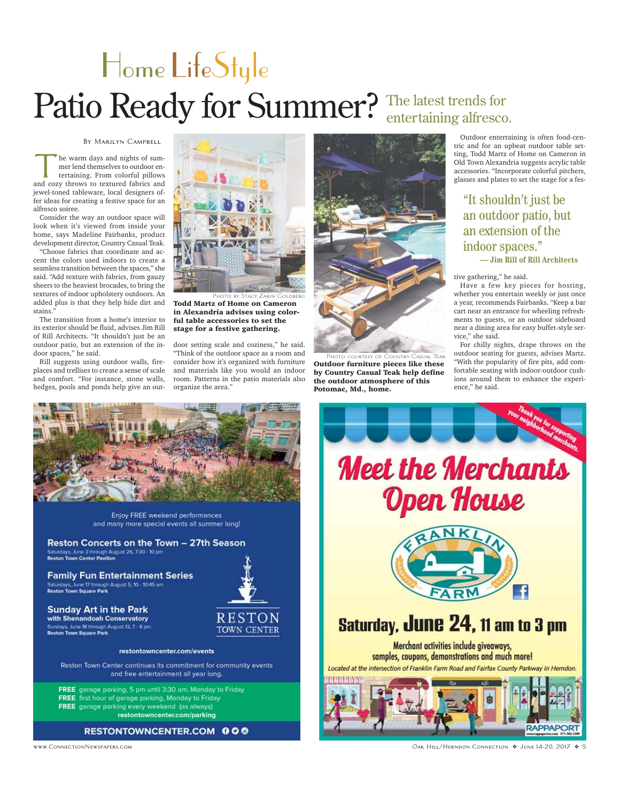# Home LifeStyle Patio Ready for Summer? The latest trends for

#### **By Marilyn Campbell**

he warm days and nights of summer lend themselves to outdoor entertaining. From colorful pillows and cozy throws to textured fabrics and jewel-toned tableware, local designers offer ideas for creating a festive space for an alfresco soiree.

Consider the way an outdoor space will look when it's viewed from inside your home, says Madeline Fairbanks, product development director, Country Casual Teak.

"Choose fabrics that coordinate and accent the colors used indoors to create a seamless transition between the spaces," she said. "Add texture with fabrics, from gauzy sheers to the heaviest brocades, to bring the textures of indoor upholstery outdoors. An added plus is that they help hide dirt and stains.'

The transition from a home's interior to its exterior should be fluid, advises Jim Rill of Rill Architects. "It shouldn't just be an outdoor patio, but an extension of the indoor spaces," he said.

Rill suggests using outdoor walls, fireplaces and trellises to create a sense of scale and comfort. "For instance, stone walls, hedges, pools and ponds help give an out-



Photo by Stacy Zarin Goldberg Todd Martz of Home on Cameron in Alexandria advises using colorful table accessories to set the stage for a festive gathering.

door setting scale and coziness," he said. "Think of the outdoor space as a room and consider how it's organized with furniture and materials like you would an indoor room. Patterns in the patio materials also organize the area."



Photo courtesy of Country Casual Teak Outdoor furniture pieces like these by Country Casual Teak help define the outdoor atmosphere of this Potomac, Md., home.

Outdoor entertaining is often food-centric and for an upbeat outdoor table setting, Todd Martz of Home on Cameron in Old Town Alexandria suggests acrylic table accessories. "Incorporate colorful pitchers, glasses and plates to set the stage for a fes-

"It shouldn't just be an outdoor patio, but an extension of the indoor spaces." **— Jim Rill of Rill Architects**

tive gathering," he said.

Have a few key pieces for hosting, whether you entertain weekly or just once a year, recommends Fairbanks. "Keep a bar cart near an entrance for wheeling refreshments to guests, or an outdoor sideboard near a dining area for easy buffet-style service," she said.

For chilly nights, drape throws on the outdoor seating for guests, advises Martz. "With the popularity of fire pits, add comfortable seating with indoor-outdoor cushions around them to enhance the experience," he said.



Enjoy FREE weekend performances and many more special events all summer long!

Reston Concerts on the Town - 27th Season Saturdays, June 3 through August 26, 7:30 - 10 pm

**Family Fun Entertainment Series** Saturdays, June 17 through August 5, 10 - 10:45 am<br>Reston Town Square Park

**Sunday Art in the Park** with Shenandoah Conservatory Sundays, June 18 through August 13, 7 - 8 pm **Reston Town Square Park** 



#### restontowncenter.com/events

Reston Town Center continues its commitment for community events and free entertainment all year long.

FREE garage parking, 5 pm until 3:30 am, Monday to Friday FREE first hour of garage parking, Monday to Friday **FREE** garage parking every weekend (as always) restontowncenter.com/parking

**RESTONTOWNCENTER.COM 000** 



**www.ConnectionNewspapers.com Oak Hill/Herndon Connection** ❖ **June 14-20, 2017** ❖ **5**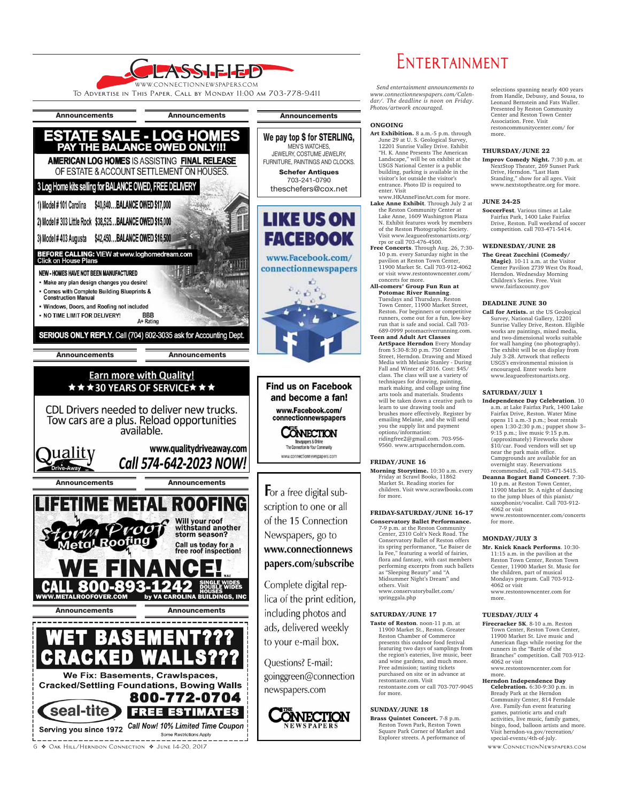

**Entertainment**

*Send entertainment announcements to www.connectionnewspapers.com/Calendar/. The deadline is noon on Friday.*

- June 29 at U. S. Geological Survey, 12201 Sunrise Valley Drive. Exhibit "H. K. Anne Presents The American Landscape," will be on exhibit at the USGS National Center is a public building, parking is available in the entrance. Photo ID is required to
- Lake Anne Exhibit. Through July 2 at the Reston Community Center at Lake Anne, 1609 Washington Plaza N. Exhibit features work by members of the Reston Photographic Society. Visit www.leagueofrestonartists.org/

Free Concerts. Through Aug. 26, 7:30-10 p.m. every Saturday night in the pavilion at Reston Town Center, 11900 Market St. Call 703-912-4062 or visit www.restontowncenter.com/

Tuesdays and Thursdays. Reston Town Center, 11900 Market Street, Reston. For beginners or competitive runners, come out for a fun, low-key run that is safe and social. Call 703-

ArtSpace Herndon Every Monday from 5:30-8:30 p.m. 750 Center Street, Herndon. Drawing and Mixed Media with Melanie Stanley - During Fall and Winter of 2016. Cost: \$45/ class. The class will use a variety of techniques for drawing, painting, mark making, and collage using fine arts tools and materials. Students will be taken down a creative path to brushes more effectively. Register by emailing Melanie, and she will send you the supply list and payment ridingfree2@gmail.com. 703-956-

Morning Storytime. 10:30 a.m. every children. Visit www.scrawlbooks.com

#### FRIDAY-SATURDAY/JUNE 16-17

Conservatory Ballet Performance. 7-9 p.m. at the Reston Community Center, 2310 Colt's Neck Road. The Conservatory Ballet of Reston offers its spring performance, "Le Baiser de la Fee," featuring a world of fairies, flora and fantasy, with cast members performing excerpts from such ballets Midsummer Night's Dream" and

- 11900 Market St., Reston. Greater presents this outdoor food festival featuring two days of samplings from the region's eateries, live music, beer and wine gardens, and much more. purchased on site or in advance at restontaste.com or call 703-707-9045
- Reston Town Park, Reston Town Square Park Corner of Market and Explorer streets. A performance of

selections spanning nearly 400 years from Handle, Debussy, and Sousa, to Leonard Bernstein and Fats Waller. Presented by Reston Community Center and Reston Town Center Association. Free. Visit restoncommunitycenter.com/ for more.

#### THURSDAY/JUNE 22

Improv Comedy Night. 7:30 p.m. at NextStop Theater, 269 Sunset Park Drive, Herndon. "Last Ham Standing," show for all ages. Visit www.nextstoptheatre.org for more.

#### JUNE 24-25

SoccerFest. Various times at Lake Fairfax Park, 1400 Lake Fairfax Drive, Reston. Full weekend of soccer competition. call 703-471-5414.

#### WEDNESDAY/JUNE 28

The Great Zucchini (Comedy/ **Magic)**. 10-11 a.m. at the Visitor Center Pavilion 2739 West Ox Road, Herndon. Wednesday Morning Children's Series. Free. Visit www.fairfaxcounty.gov

#### DEADLINE JUNE 30

Call for Artists. at the US Geological Survey, National Gallery, 12201 Sunrise Valley Drive, Reston. Eligible works are paintings, mixed media, and two-dimensional works suitable for wall hanging (no photography). The exhibit will be on display from July 3-28. Artwork that reflects USGS's environmental mission is encouraged. Enter works here www.leagueofrestonartists.org.

#### SATURDAY/JULY 1

Independence Day Celebration. 10 a.m. at Lake Fairfax Park, 1400 Lake Fairfax Drive, Reston. Water Mine opens 11 a.m.-3 p.m.; boat rentals open 1:30-2:30 p.m.; puppet show 3– 9:15 p.m.; live music 9:15 p.m. (approximately) Fireworks show \$10/car. Food vendors will set up near the park main office. Campgrounds are available for an overnight stay. Reservations recommended, call 703-471-5415.

Deanna Bogart Band Concert. 7:30- 10 p.m. at Reston Town Center, 11900 Market St. A night of dancing to the jump blues of this pianist/ saxophonist/vocalist. Call 703-912- 4062 or visit www.restontowncenter.com/concerts

#### for more.

#### MONDAY/JULY 3

Mr. Knick Knack Performs. 10:30- 11:15 a.m. in the pavilion at the Reston Town Center, Reston Town Center, 11900 Market St. Music for the children, part of musical Mondays program. Call 703-912- 4062 or visit www.restontowncenter.com for more.

#### TUESDAY/JULY 4

- Firecracker 5K. 8-10 a.m. Reston Town Center, Reston Town Center, 11900 Market St. Live music and American flags while rooting for the runners in the "Battle of the Branches" competition. Call 703-912- 4062 or visit www.restontowncenter.com for
- more. Herndon Independence Day Celebration. 6:30-9:30 p.m. in Bready Park at the Herndon Community Center, 814 Ferndale Ave. Family-fun event featuring games, patriotic arts and craft activities, live music, family games, bingo, food, balloon artists and more. Visit herndon-va.gov/recreation/ special-events/4th-of-july.

**6** ❖ **Oak Hill/Herndon Connection** ❖ **June 14-20, 2017 www.ConnectionNewspapers.com**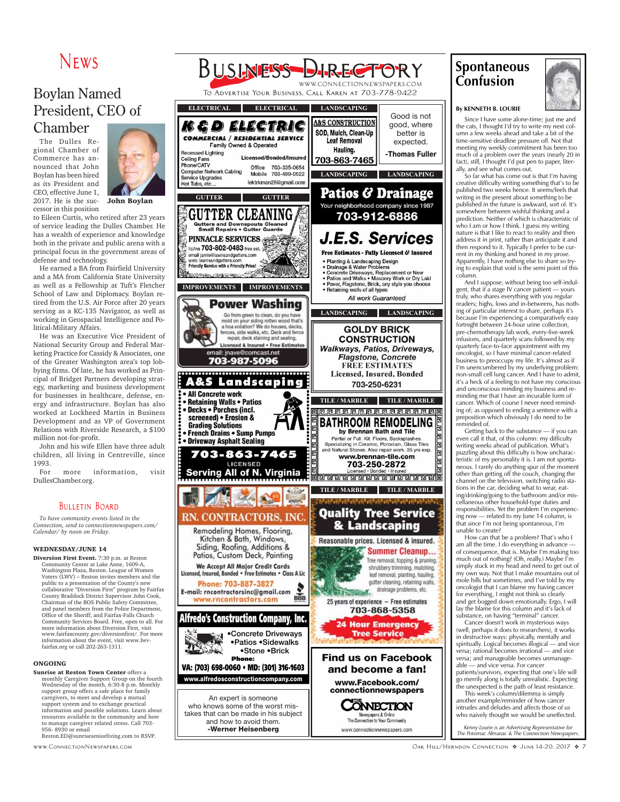## **News**

## Boylan Named President, CEO of Chamber

The Dulles Regional Chamber of Commerce has announced that John Boylan has been hired as its President and CEO, effective June 1, 2017. He is the successor in this position



John Boylan

to Eileen Curtis, who retired after 23 years of service leading the Dulles Chamber. He has a wealth of experience and knowledge both in the private and public arena with a principal focus in the government areas of defense and technology.

He earned a BA from Fairfield University and a MA from California State University as well as a Fellowship at Tuft's Fletcher School of Law and Diplomacy. Boylan retired from the U.S. Air Force after 20 years serving as a KC-135 Navigator, as well as working in Geospacial Intelligence and Political-Military Affairs.

He was an Executive Vice President of National Security Group and Federal Marketing Practice for Cassidy & Associates, one of the Greater Washington area's top lobbying firms. Of late, he has worked as Principal of Bridget Partners developing strategy, marketing and business development for businesses in healthcare, defense, energy and infrastructure. Boylan has also worked at Lockheed Martin in Business Development and as VP of Government Relations with Riverside Research, a \$100 million not-for-profit.

John and his wife Ellen have three adult children, all living in Centreville, since 1993.

For more information, visit DullesChamber.org.

#### **Bulletin Board**

*To have community events listed in the Connection, send to connectionnewspapers.com/ Calendar/ by noon on Friday.*

#### WEDNESDAY/JUNE 14

Diversion First Event. 7:30 p.m. at Reston Community Center at Lake Anne, 1609-A, Washington Plaza, Reston. League of Women Voters (LWV) – Reston invites members and the public to a presentation of the County's new collaborative "Diversion First" program by Fairfax County Braddock District Supervisor John Cook, Chairman of the BOS Public Safety Committee, and panel members from the Police Department, Office of the Sheriff, and Fairfax-Falls Church Community Services Board. Free, open to all. For more information about Diversion First, visit www.fairfaxcounty.gov/diversionfirst/. For more information about the event, visit www.lwvfairfax.org or call 202-263-1311.

#### ONGOING

Sunrise at Reston Town Center offers a monthly Caregiver Support Group on the fourth Wednesday of the month, 6:30-8 p.m. Monthly support group offers a safe place for family caregivers, to meet and develop a mutual support system and to exchange practical information and possible solutions. Learn about resources available in the community and how to manage caregiver related stress. Call 703- 956- 8930 or email Reston.ED@sunriseseniorliving.com to RSVP.





#### **By KENNETH B. LOURIE**

Since I have some alone-time; just me and the cats, I thought I'd try to write my next column a few weeks ahead and take a bit of the time-sensitive deadline pressure off. Not that meeting my weekly commitment has been too much of a problem over the years (nearly 20 in fact), still, I thought I'd put pen to paper, literally, and see what comes out.

So far what has come out is that I'm having creative difficulty writing something that's to be published two weeks hence. It seems/feels that writing in the present about something to be published in the future is awkward, sort of. It's somewhere between wishful thinking and a prediction. Neither of which is characteristic of who I am or how I think. I guess my writing nature is that I like to react to reality and then address it in print, rather than anticipate it and then respond to it. Typically I prefer to be current in my thinking and honest in my prose. Apparently, I have nothing else to share so trying to explain that void is the semi point of this column.

And I suppose, without being too self-indulgent, that if a stage IV cancer patient — yours truly, who shares everything with you regular readers; highs, lows and in-betweens, has nothing of particular interest to share, perhaps it's because I'm experiencing a comparatively easy fortnight between 24-hour urine collection, pre-chemotherapy lab work, every-five-week infusions, and quarterly scans followed by my quarterly face-to-face appointment with my oncologist, so I have minimal cancer-related business to preoccupy my life. It's almost as if I'm unencumbered by my underlying problem: non-small cell lung cancer. And I have to admit, it's a heck of a feeling to not have my conscious and unconscious minding my business and reminding me that I have an incurable form of cancer. Which of course I never need reminding of; as opposed to ending a sentence with a preposition which obviously I do need to be reminded of.

Getting back to the substance — if you can even call it that, of this column: my difficulty writing weeks ahead of publication. What's puzzling about this difficulty is how uncharacteristic of my personality it is. I am not spontaneous. I rarely do anything spur of the moment other than getting off the couch, changing the channel on the television, switching radio stations in the car, deciding what to wear, eat-

ing/drinking/going to the bathroom and/or miscellaneous other household-type duties and responsibilities. Yet the problem I'm experiencing now — related to my June 14 column, is that since I'm not being spontaneous, I'm unable to create?

How can that be a problem? That's who I am all the time. I do everything in advance of consequence, that is. Maybe I'm making too much out of nothing? (Oh, really.) Maybe I'm simply stuck in my head and need to get out of my own way. Not that I make mountains out of mole hills but sometimes, and I've told by my oncologist that I can blame my having cancer for everything, I might not think so clearly and get bogged down emotionally. Ergo, I will lay the blame for this column and it's lack of substance, on having "terminal" cancer.

Cancer doesn't work in mysterious ways (well, perhaps it does to researchers), it works in destructive ways: physically, mentally and spiritually. Logical becomes illogical — and vice versa; rational becomes irrational — and vice versa; and manageable becomes unmanageable — and vice versa. For cancer patients/survivors, expecting that one's life will go merrily along is totally unrealistic. Expecting the unexpected is the path of least resistance.

*Kenny Lourie is an Advertising Representative for The Potomac Almanac & The Connection Newspapers.* This week's column/dilemma is simply another example/reminder of how cancer intrudes and deludes and affects those of us who naively thought we would be uneffected.

**www.ConnectionNewspapers.com Oak Hill/Herndon Connection** ❖ **June 14-20, 2017** ❖ **7**